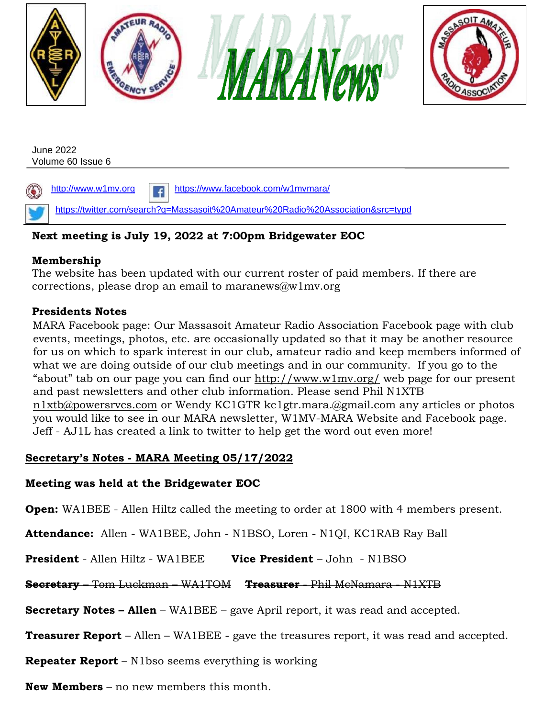

### **Next meeting is July 19, 2022 at 7:00pm Bridgewater EOC**

### **Membership**

The website has been updated with our current roster of paid members. If there are corrections, please drop an email to maranews@w1mv.org

### **Presidents Notes**

MARA Facebook page: Our Massasoit Amateur Radio Association Facebook page with club events, meetings, photos, etc. are occasionally updated so that it may be another resource for us on which to spark interest in our club, amateur radio and keep members informed of what we are doing outside of our club meetings and in our community. If you go to the "about" tab on our page you can find our <http://www.w1mv.org/> web page for our present and past newsletters and other club information. Please send Phil N1XTB n1xtb@powersrvcs.com or Wendy KC1GTR kc1gtr.mara.@gmail.com any articles or photos you would like to see in our MARA newsletter, W1MV-MARA Website and Facebook page. Jeff - AJ1L has created a link to twitter to help get the word out even more!

# **Secretary's Notes - MARA Meeting 05/17/2022**

### **Meeting was held at the Bridgewater EOC**

**Open:** WA1BEE - Allen Hiltz called the meeting to order at 1800 with 4 members present.

**Attendance:** Allen - WA1BEE, John - N1BSO, Loren - N1QI, KC1RAB Ray Ball

**President** - Allen Hiltz - WA1BEE **Vice President** – John - N1BSO

# **Secretary** – Tom Luckman – WA1TOM **Treasurer** - Phil McNamara - N1XTB

**Secretary Notes – Allen** – WA1BEE – gave April report, it was read and accepted.

**Treasurer Report** – Allen – WA1BEE - gave the treasures report, it was read and accepted.

**Repeater Report** – N1bso seems everything is working

**New Members** – no new members this month.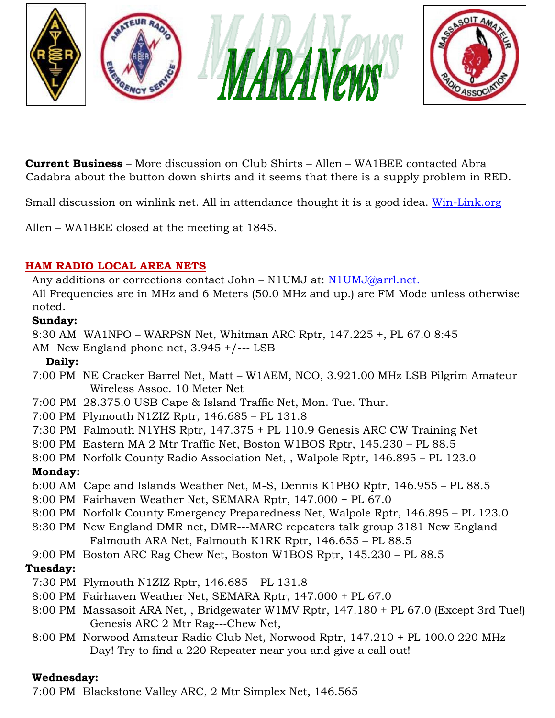

**Current Business** – More discussion on Club Shirts – Allen – WA1BEE contacted Abra Cadabra about the button down shirts and it seems that there is a supply problem in RED.

Small discussion on winlink net. All in attendance thought it is a good idea. [Win-Link.org](http://win-link.org/)

Allen – WA1BEE closed at the meeting at 1845.

### **HAM RADIO LOCAL AREA NETS**

Any additions or corrections contact John - N1UMJ at: N1UMJ@arrl.net.

All Frequencies are in MHz and 6 Meters (50.0 MHz and up.) are FM Mode unless otherwise noted.

## **Sunday:**

8:30 AM WA1NPO – WARPSN Net, Whitman ARC Rptr, 147.225 +, PL 67.0 8:45

AM New England phone net, 3.945 +/--‐ LSB

## **Daily:**

- 7:00 PM NE Cracker Barrel Net, Matt W1AEM, NCO, 3.921.00 MHz LSB Pilgrim Amateur Wireless Assoc. 10 Meter Net
- 7:00 PM 28.375.0 USB Cape & Island Traffic Net, Mon. Tue. Thur.
- 7:00 PM Plymouth N1ZIZ Rptr, 146.685 PL 131.8
- 7:30 PM Falmouth N1YHS Rptr, 147.375 + PL 110.9 Genesis ARC CW Training Net
- 8:00 PM Eastern MA 2 Mtr Traffic Net, Boston W1BOS Rptr, 145.230 PL 88.5
- 8:00 PM Norfolk County Radio Association Net, , Walpole Rptr, 146.895 PL 123.0

# **Monday:**

- 6:00 AM Cape and Islands Weather Net, M-S, Dennis K1PBO Rptr, 146.955 PL 88.5
- 8:00 PM Fairhaven Weather Net, SEMARA Rptr, 147.000 + PL 67.0
- 8:00 PM Norfolk County Emergency Preparedness Net, Walpole Rptr, 146.895 PL 123.0
- 8:30 PM New England DMR net, DMR--‐MARC repeaters talk group 3181 New England Falmouth ARA Net, Falmouth K1RK Rptr, 146.655 – PL 88.5
- 9:00 PM Boston ARC Rag Chew Net, Boston W1BOS Rptr, 145.230 PL 88.5

# **Tuesday:**

- 7:30 PM Plymouth N1ZIZ Rptr, 146.685 PL 131.8
- 8:00 PM Fairhaven Weather Net, SEMARA Rptr, 147.000 + PL 67.0
- 8:00 PM Massasoit ARA Net, , Bridgewater W1MV Rptr, 147.180 + PL 67.0 (Except 3rd Tue!) Genesis ARC 2 Mtr Rag--‐Chew Net,
- 8:00 PM Norwood Amateur Radio Club Net, Norwood Rptr, 147.210 + PL 100.0 220 MHz Day! Try to find a 220 Repeater near you and give a call out!

# **Wednesday:**

7:00 PM Blackstone Valley ARC, 2 Mtr Simplex Net, 146.565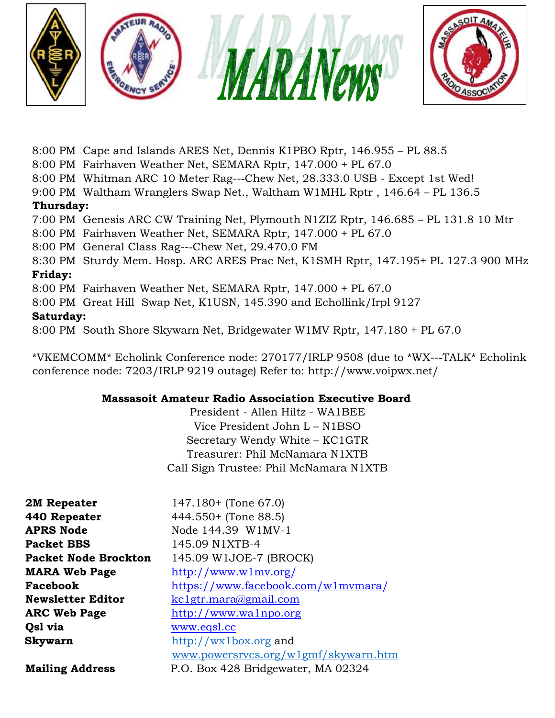

- 8:00 PM Cape and Islands ARES Net, Dennis K1PBO Rptr, 146.955 PL 88.5
- 8:00 PM Fairhaven Weather Net, SEMARA Rptr, 147.000 + PL 67.0
- 8:00 PM Whitman ARC 10 Meter Rag--‐Chew Net, 28.333.0 USB Except 1st Wed!
- 9:00 PM Waltham Wranglers Swap Net., Waltham W1MHL Rptr , 146.64 PL 136.5

### **Thursday:**

7:00 PM Genesis ARC CW Training Net, Plymouth N1ZIZ Rptr, 146.685 – PL 131.8 10 Mtr

- 8:00 PM Fairhaven Weather Net, SEMARA Rptr, 147.000 + PL 67.0
- 8:00 PM General Class Rag--‐Chew Net, 29.470.0 FM
- 8:30 PM Sturdy Mem. Hosp. ARC ARES Prac Net, K1SMH Rptr, 147.195+ PL 127.3 900 MHz

### **Friday:**

8:00 PM Fairhaven Weather Net, SEMARA Rptr, 147.000 + PL 67.0

8:00 PM Great Hill Swap Net, K1USN, 145.390 and Echollink/Irpl 9127

### **Saturday:**

8:00 PM South Shore Skywarn Net, Bridgewater W1MV Rptr, 147.180 + PL 67.0

\*VKEMCOMM\* Echolink Conference node: 270177/IRLP 9508 (due to \*WX--‐TALK\* Echolink conference node: 7203/IRLP 9219 outage) R[efer to: http://www.voipwx.net/](http://www.voipwx.net/)

### **Massasoit Amateur Radio Association Executive Board**

President - Allen Hiltz - WA1BEE Vice President John L – N1BSO Secretary Wendy White – KC1GTR Treasurer: Phil McNamara N1XTB Call Sign Trustee: Phil McNamara N1XTB

| 2M Repeater                 | $147.180+$ (Tone 67.0)                        |
|-----------------------------|-----------------------------------------------|
| 440 Repeater                | $444.550+$ (Tone 88.5)                        |
| <b>APRS Node</b>            | Node 144.39 W1MV-1                            |
| <b>Packet BBS</b>           | 145.09 N1XTB-4                                |
| <b>Packet Node Brockton</b> | 145.09 W1JOE-7 (BROCK)                        |
| <b>MARA Web Page</b>        | http://www.w1mv.org/                          |
| Facebook                    | https://www.facebook.com/wlmvmara/            |
| <b>Newsletter Editor</b>    | kc1gtr.mara@gmail.com                         |
| <b>ARC Web Page</b>         | http://www.walnpo.org                         |
| Qsl via                     | www.eqsl.cc                                   |
| Skywarn                     | $\frac{http://wx1box.org}{http://wx1box.org}$ |
|                             | www.powersrvcs.org/wlgmf/skywarn.htm          |
| <b>Mailing Address</b>      | P.O. Box 428 Bridgewater, MA 02324            |
|                             |                                               |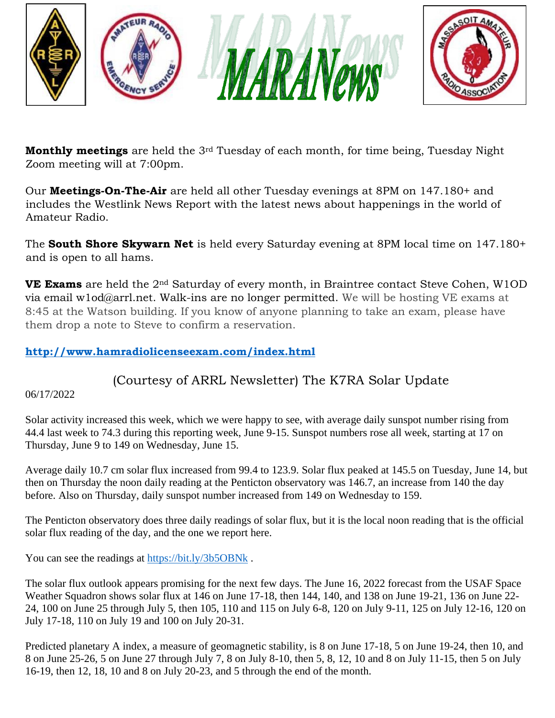

**Monthly meetings** are held the 3rd Tuesday of each month, for time being, Tuesday Night Zoom meeting will at 7:00pm.

Our **Meetings-On-The-Air** are held all other Tuesday evenings at 8PM on 147.180+ and includes the Westlink News Report with the latest news about happenings in the world of Amateur Radio.

The **South Shore Skywarn Net** is held every Saturday evening at 8PM local time on 147.180+ and is open to all hams.

**VE Exams** are held the 2nd Saturday of every month, in Braintree contact Steve Cohen, W1OD via email w1od@arrl.net. Walk-ins are no longer permitted. We will be hosting VE exams at 8:45 at the Watson building. If you know of anyone planning to take an exam, please have them drop a note to Steve to confirm a reservation.

### **<http://www.hamradiolicenseexam.com/index.html>**

(Courtesy of ARRL Newsletter) The K7RA Solar Update

06/17/2022

Solar activity increased this week, which we were happy to see, with average daily sunspot number rising from 44.4 last week to 74.3 during this reporting week, June 9-15. Sunspot numbers rose all week, starting at 17 on Thursday, June 9 to 149 on Wednesday, June 15.

Average daily 10.7 cm solar flux increased from 99.4 to 123.9. Solar flux peaked at 145.5 on Tuesday, June 14, but then on Thursday the noon daily reading at the Penticton observatory was 146.7, an increase from 140 the day before. Also on Thursday, daily sunspot number increased from 149 on Wednesday to 159.

The Penticton observatory does three daily readings of solar flux, but it is the local noon reading that is the official solar flux reading of the day, and the one we report here.

You can see the readings at<https://bit.ly/3b5OBNk>.

The solar flux outlook appears promising for the next few days. The June 16, 2022 forecast from the USAF Space Weather Squadron shows solar flux at 146 on June 17-18, then 144, 140, and 138 on June 19-21, 136 on June 22-24, 100 on June 25 through July 5, then 105, 110 and 115 on July 6-8, 120 on July 9-11, 125 on July 12-16, 120 on July 17-18, 110 on July 19 and 100 on July 20-31.

Predicted planetary A index, a measure of geomagnetic stability, is 8 on June 17-18, 5 on June 19-24, then 10, and 8 on June 25-26, 5 on June 27 through July 7, 8 on July 8-10, then 5, 8, 12, 10 and 8 on July 11-15, then 5 on July 16-19, then 12, 18, 10 and 8 on July 20-23, and 5 through the end of the month.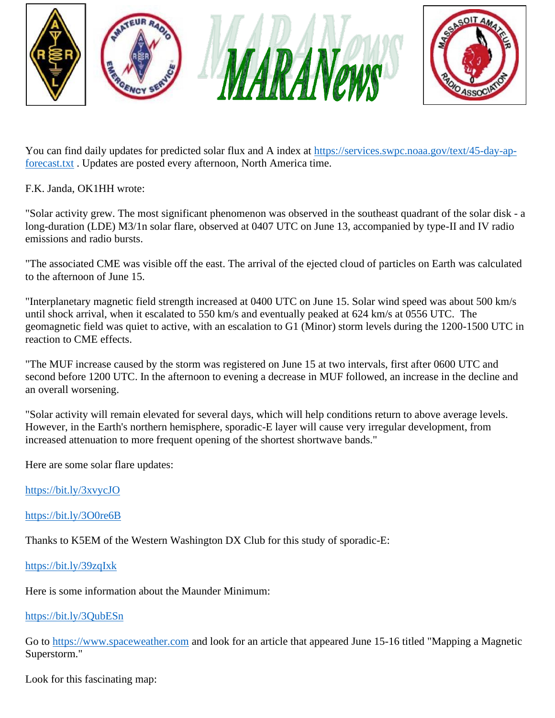

You can find daily updates for predicted solar flux and A index at [https://services.swpc.noaa.gov/text/45-day-ap](https://services.swpc.noaa.gov/text/45-day-ap-forecast.txt)[forecast.txt](https://services.swpc.noaa.gov/text/45-day-ap-forecast.txt) . Updates are posted every afternoon, North America time.

F.K. Janda, OK1HH wrote:

"Solar activity grew. The most significant phenomenon was observed in the southeast quadrant of the solar disk - a long-duration (LDE) M3/1n solar flare, observed at 0407 UTC on June 13, accompanied by type-II and IV radio emissions and radio bursts.

"The associated CME was visible off the east. The arrival of the ejected cloud of particles on Earth was calculated to the afternoon of June 15.

"Interplanetary magnetic field strength increased at 0400 UTC on June 15. Solar wind speed was about 500 km/s until shock arrival, when it escalated to 550 km/s and eventually peaked at 624 km/s at 0556 UTC. The geomagnetic field was quiet to active, with an escalation to G1 (Minor) storm levels during the 1200-1500 UTC in reaction to CME effects.

"The MUF increase caused by the storm was registered on June 15 at two intervals, first after 0600 UTC and second before 1200 UTC. In the afternoon to evening a decrease in MUF followed, an increase in the decline and an overall worsening.

"Solar activity will remain elevated for several days, which will help conditions return to above average levels. However, in the Earth's northern hemisphere, sporadic-E layer will cause very irregular development, from increased attenuation to more frequent opening of the shortest shortwave bands."

Here are some solar flare updates:

<https://bit.ly/3xvycJO>

<https://bit.ly/3O0re6B>

Thanks to K5EM of the Western Washington DX Club for this study of sporadic-E:

<https://bit.ly/39zqIxk>

Here is some information about the Maunder Minimum:

### <https://bit.ly/3QubESn>

Go to [https://www.spaceweather.com](https://www.spaceweather.com/) and look for an article that appeared June 15-16 titled "Mapping a Magnetic Superstorm."

Look for this fascinating map: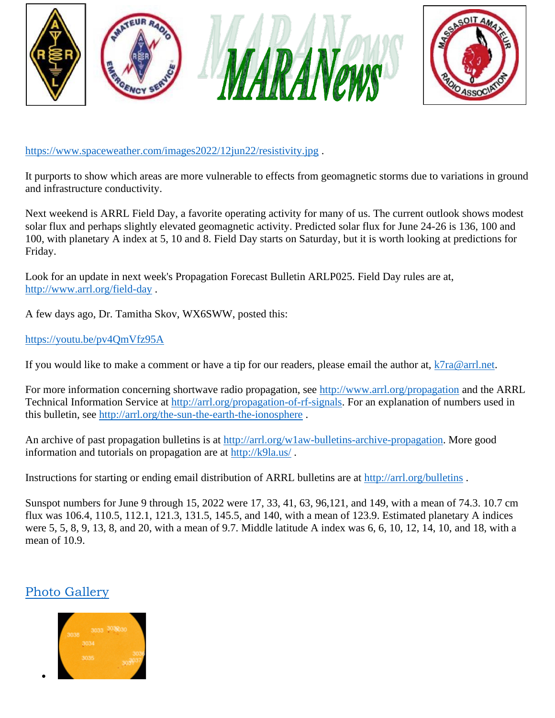

<https://www.spaceweather.com/images2022/12jun22/resistivity.jpg> .

It purports to show which areas are more vulnerable to effects from geomagnetic storms due to variations in ground and infrastructure conductivity.

Next weekend is ARRL Field Day, a favorite operating activity for many of us. The current outlook shows modest solar flux and perhaps slightly elevated geomagnetic activity. Predicted solar flux for June 24-26 is 136, 100 and 100, with planetary A index at 5, 10 and 8. Field Day starts on Saturday, but it is worth looking at predictions for Friday.

Look for an update in next week's Propagation Forecast Bulletin ARLP025. Field Day rules are at, <http://www.arrl.org/field-day> .

A few days ago, Dr. Tamitha Skov, WX6SWW, posted this:

#### <https://youtu.be/pv4QmVfz95A>

If you would like to make a comment or have a tip for our readers, please email the author at,  $k7ra@arrl.net$ .

For more information concerning shortwave radio propagation, see<http://www.arrl.org/propagation> and the ARRL Technical Information Service at [http://arrl.org/propagation-of-rf-signals.](http://arrl.org/propagation-of-rf-signals) For an explanation of numbers used in this bulletin, see<http://arrl.org/the-sun-the-earth-the-ionosphere> .

An archive of past propagation bulletins is at [http://arrl.org/w1aw-bulletins-archive-propagation.](http://arrl.org/w1aw-bulletins-archive-propagation) More good information and tutorials on propagation are at<http://k9la.us/> .

Instructions for starting or ending email distribution of ARRL bulletins are at<http://arrl.org/bulletins> .

Sunspot numbers for June 9 through 15, 2022 were 17, 33, 41, 63, 96,121, and 149, with a mean of 74.3. 10.7 cm flux was 106.4, 110.5, 112.1, 121.3, 131.5, 145.5, and 140, with a mean of 123.9. Estimated planetary A indices were 5, 5, 8, 9, 13, 8, and 20, with a mean of 9.7. Middle latitude A index was 6, 6, 10, 12, 14, 10, and 18, with a mean of 10.9.

# [Photo Gallery](http://www.arrl.org/news/the-k7ra-solar-update-733)

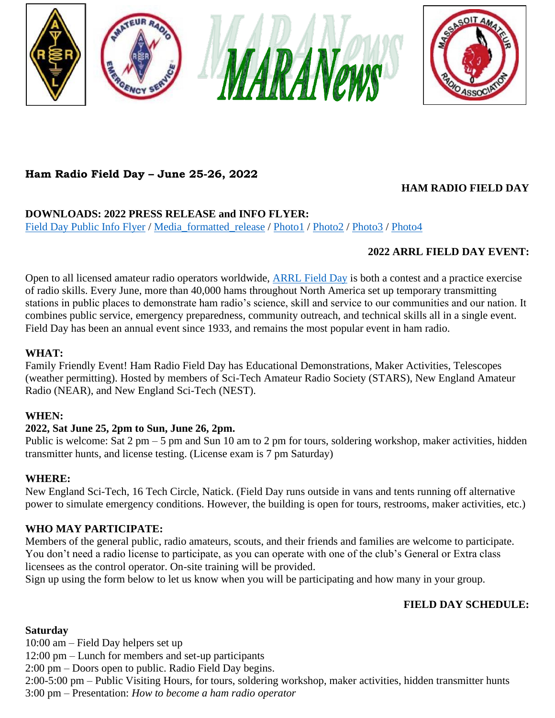



# **Ham Radio Field Day – June 25-26, 2022**

### **HAM RADIO FIELD DAY**

### **DOWNLOADS: 2022 PRESS RELEASE and INFO FLYER:**

[Field Day Public Info Flyer](https://nescitech.org/wp-content/uploads/2022/06/Radio-Field-Day-Info-Flyer.pdf) / [Media\\_formatted\\_release](https://nescitech.org/wp-content/uploads/2022/06/2022-06-Field-Day-Press-release.pdf) / [Photo1](https://nescitech.org/wp-content/uploads/2019/06/Radio_Field_Day_Instruction1.jpg) / [Photo2](https://nescitech.org/wp-content/uploads/2019/06/Radio_Field_Day_Instruction2.jpg) / [Photo3](https://nescitech.org/wp-content/uploads/2019/06/NEAR_van_Radio_Field_Day.jpg) / [Photo4](https://nescitech.org/wp-content/uploads/2019/06/NEAR_van_ham_radio_operator.jpg)

### **2022 ARRL FIELD DAY EVENT:**

Open to all licensed amateur radio operators worldwide, **[ARRL Field Day](http://www.arrl.org/field-day)** is both a contest and a practice exercise of radio skills. Every June, more than 40,000 hams throughout North America set up temporary transmitting stations in public places to demonstrate ham radio's science, skill and service to our communities and our nation. It combines public service, emergency preparedness, community outreach, and technical skills all in a single event. Field Day has been an annual event since 1933, and remains the most popular event in ham radio.

#### **WHAT:**

Family Friendly Event! Ham Radio Field Day has Educational Demonstrations, Maker Activities, Telescopes (weather permitting). Hosted by members of Sci-Tech Amateur Radio Society (STARS), New England Amateur Radio (NEAR), and New England Sci-Tech (NEST).

### **WHEN:**

### **2022, Sat June 25, 2pm to Sun, June 26, 2pm.**

Public is welcome: Sat 2 pm – 5 pm and Sun 10 am to 2 pm for tours, soldering workshop, maker activities, hidden transmitter hunts, and license testing. (License exam is 7 pm Saturday)

### **WHERE:**

New England Sci-Tech, 16 Tech Circle, Natick. (Field Day runs outside in vans and tents running off alternative power to simulate emergency conditions. However, the building is open for tours, restrooms, maker activities, etc.)

### **WHO MAY PARTICIPATE:**

Members of the general public, radio amateurs, scouts, and their friends and families are welcome to participate. You don't need a radio license to participate, as you can operate with one of the club's General or Extra class licensees as the control operator. On-site training will be provided.

Sign up using the form below to let us know when you will be participating and how many in your group.

### **FIELD DAY SCHEDULE:**

### **Saturday**

10:00 am – Field Day helpers set up 12:00 pm – Lunch for members and set-up participants 2:00 pm – Doors open to public. Radio Field Day begins. 2:00-5:00 pm – Public Visiting Hours, for tours, soldering workshop, maker activities, hidden transmitter hunts 3:00 pm – Presentation: *How to become a ham radio operator*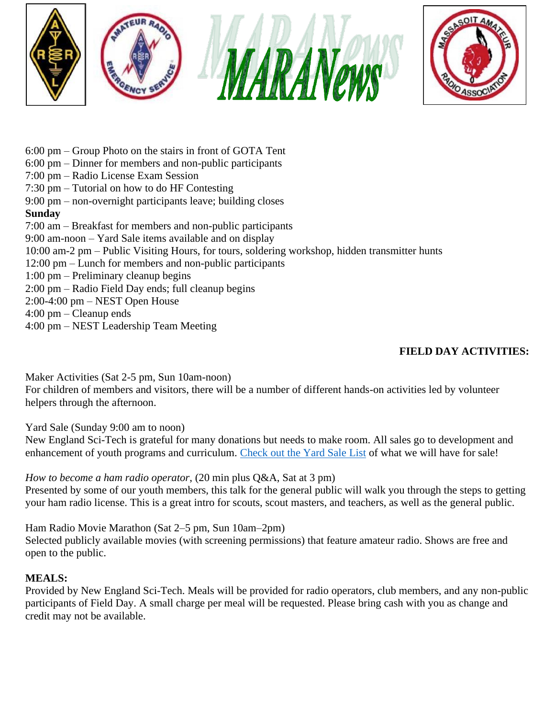



- 6:00 pm Group Photo on the stairs in front of GOTA Tent
- 6:00 pm Dinner for members and non-public participants
- 7:00 pm Radio License Exam Session
- 7:30 pm Tutorial on how to do HF Contesting
- 9:00 pm non-overnight participants leave; building closes

### **Sunday**

- 7:00 am Breakfast for members and non-public participants
- 9:00 am-noon Yard Sale items available and on display
- 10:00 am-2 pm Public Visiting Hours, for tours, soldering workshop, hidden transmitter hunts
- 12:00 pm Lunch for members and non-public participants
- 1:00 pm Preliminary cleanup begins
- 2:00 pm Radio Field Day ends; full cleanup begins
- 2:00-4:00 pm NEST Open House
- 4:00 pm Cleanup ends
- 4:00 pm NEST Leadership Team Meeting

# **FIELD DAY ACTIVITIES:**

Maker Activities (Sat 2-5 pm, Sun 10am-noon)

For children of members and visitors, there will be a number of different hands-on activities led by volunteer helpers through the afternoon.

Yard Sale (Sunday 9:00 am to noon)

New England Sci-Tech is grateful for many donations but needs to make room. All sales go to development and enhancement of youth programs and curriculum. [Check out the Yard Sale List](https://nescitech.org/winter-field-day/yard-sale-list/) of what we will have for sale!

*How to become a ham radio operator*, (20 min plus Q&A, Sat at 3 pm) Presented by some of our youth members, this talk for the general public will walk you through the steps to getting your ham radio license. This is a great intro for scouts, scout masters, and teachers, as well as the general public.

Ham Radio Movie Marathon (Sat 2–5 pm, Sun 10am–2pm) Selected publicly available movies (with screening permissions) that feature amateur radio. Shows are free and open to the public.

### **MEALS:**

Provided by New England Sci-Tech. Meals will be provided for radio operators, club members, and any non-public participants of Field Day. A small charge per meal will be requested. Please bring cash with you as change and credit may not be available.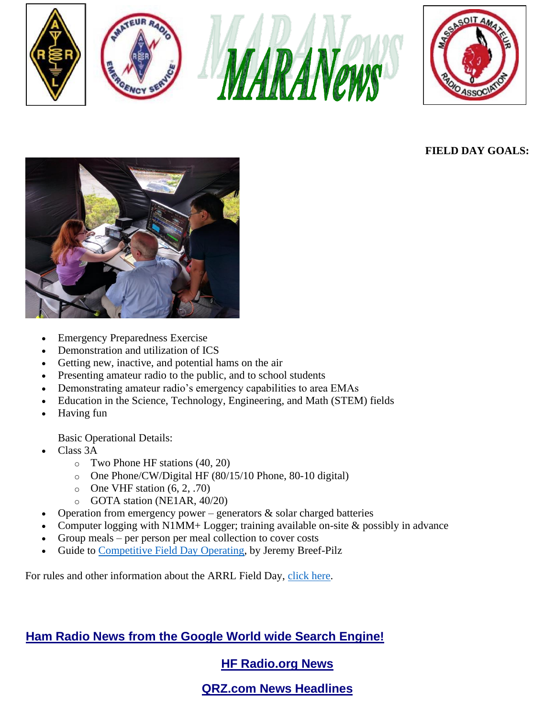





# **FIELD DAY GOALS:**



- Emergency Preparedness Exercise
- Demonstration and utilization of ICS
- Getting new, inactive, and potential hams on the air
- Presenting amateur radio to the public, and to school students
- Demonstrating amateur radio's emergency capabilities to area EMAs
- Education in the Science, Technology, Engineering, and Math (STEM) fields
- Having fun

Basic Operational Details:

- Class 3A
	- o Two Phone HF stations (40, 20)
	- o One Phone/CW/Digital HF (80/15/10 Phone, 80-10 digital)
	- $\circ$  One VHF station  $(6, 2, .70)$
	- o GOTA station (NE1AR, 40/20)
- Operation from emergency power generators  $\&$  solar charged batteries
- Computer logging with N1MM+ Logger; training available on-site  $\&$  possibly in advance
- Group meals per person per meal collection to cover costs
- Guide to [Competitive Field Day Operating,](https://nescitech.org/wp-content/uploads/2019/06/Field-Day-Guide-2019.pdf) by Jeremy Breef-Pilz

For rules and other information about the ARRL Field Day, [click here.](http://www.arrl.org/field-day-rules)

# **[Ham Radio News from the Google World wide Search Engine!](http://news.google.com/news?hl=en&q=amateur+ham+radio)**

# **[HF Radio.org News](http://hfradio.org/news.html#arrl)**

# **QRZ.com [News Headlines](http://www.qrz.com/headlines.html)**